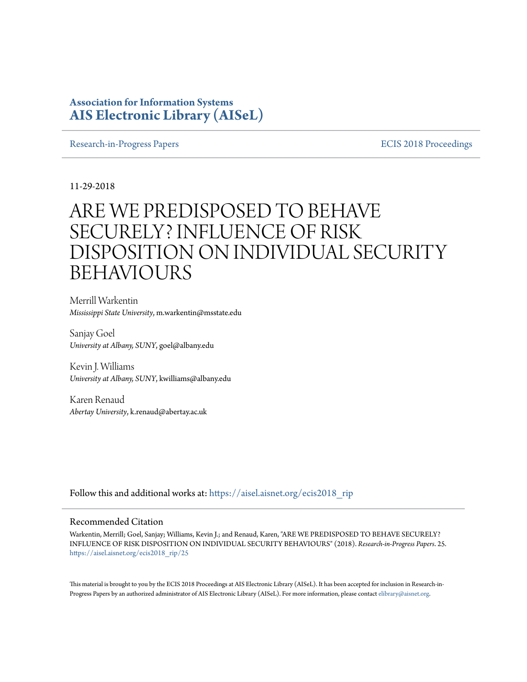### **Association for Information Systems [AIS Electronic Library \(AISeL\)](https://aisel.aisnet.org?utm_source=aisel.aisnet.org%2Fecis2018_rip%2F25&utm_medium=PDF&utm_campaign=PDFCoverPages)**

[Research-in-Progress Papers](https://aisel.aisnet.org/ecis2018_rip?utm_source=aisel.aisnet.org%2Fecis2018_rip%2F25&utm_medium=PDF&utm_campaign=PDFCoverPages) **ECIS 2018** Proceedings

11-29-2018

# ARE WE PREDISPOSED TO BEHAVE SECURELY? INFLUENCE OF RISK DISPOSITION ON INDIVIDUAL SECURITY BEHAVIOURS

Merrill Warkentin *Mississippi State University*, m.warkentin@msstate.edu

Sanjay Goel *University at Albany, SUNY*, goel@albany.edu

Kevin J. Williams *University at Albany, SUNY*, kwilliams@albany.edu

Karen Renaud *Abertay University*, k.renaud@abertay.ac.uk

Follow this and additional works at: [https://aisel.aisnet.org/ecis2018\\_rip](https://aisel.aisnet.org/ecis2018_rip?utm_source=aisel.aisnet.org%2Fecis2018_rip%2F25&utm_medium=PDF&utm_campaign=PDFCoverPages)

#### Recommended Citation

Warkentin, Merrill; Goel, Sanjay; Williams, Kevin J.; and Renaud, Karen, "ARE WE PREDISPOSED TO BEHAVE SECURELY? INFLUENCE OF RISK DISPOSITION ON INDIVIDUAL SECURITY BEHAVIOURS" (2018). *Research-in-Progress Papers*. 25. [https://aisel.aisnet.org/ecis2018\\_rip/25](https://aisel.aisnet.org/ecis2018_rip/25?utm_source=aisel.aisnet.org%2Fecis2018_rip%2F25&utm_medium=PDF&utm_campaign=PDFCoverPages)

This material is brought to you by the ECIS 2018 Proceedings at AIS Electronic Library (AISeL). It has been accepted for inclusion in Research-inProgress Papers by an authorized administrator of AIS Electronic Library (AISeL). For more information, please contact [elibrary@aisnet.org.](mailto:elibrary@aisnet.org%3E)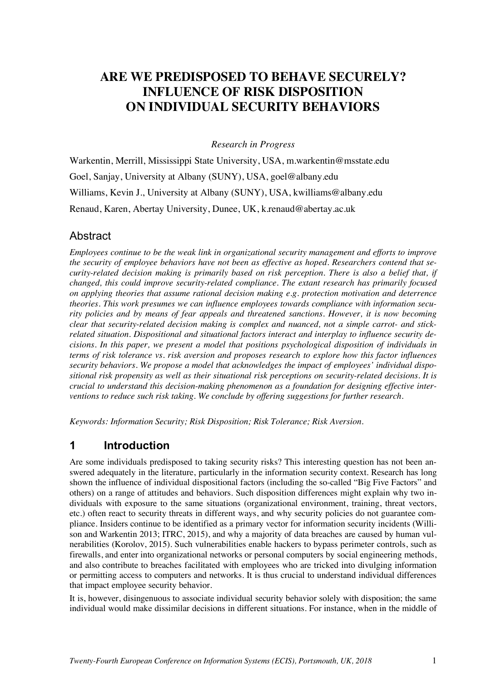# **ARE WE PREDISPOSED TO BEHAVE SECURELY? INFLUENCE OF RISK DISPOSITION ON INDIVIDUAL SECURITY BEHAVIORS**

*Research in Progress*

Warkentin, Merrill, Mississippi State University, USA, m.warkentin@msstate.edu Goel, Sanjay, University at Albany (SUNY), USA, goel@albany.edu Williams, Kevin J., University at Albany (SUNY), USA, kwilliams@albany.edu Renaud, Karen, Abertay University, Dunee, UK, k.renaud@abertay.ac.uk

### Abstract

*Employees continue to be the weak link in organizational security management and efforts to improve the security of employee behaviors have not been as effective as hoped. Researchers contend that security-related decision making is primarily based on risk perception. There is also a belief that, if changed, this could improve security-related compliance. The extant research has primarily focused on applying theories that assume rational decision making e.g. protection motivation and deterrence theories. This work presumes we can influence employees towards compliance with information security policies and by means of fear appeals and threatened sanctions. However, it is now becoming clear that security-related decision making is complex and nuanced, not a simple carrot- and stickrelated situation. Dispositional and situational factors interact and interplay to influence security decisions. In this paper, we present a model that positions psychological disposition of individuals in terms of risk tolerance vs. risk aversion and proposes research to explore how this factor influences security behaviors. We propose a model that acknowledges the impact of employees' individual dispositional risk propensity as well as their situational risk perceptions on security-related decisions. It is crucial to understand this decision-making phenomenon as a foundation for designing effective interventions to reduce such risk taking. We conclude by offering suggestions for further research.*

*Keywords: Information Security; Risk Disposition; Risk Tolerance; Risk Aversion.*

### **1 Introduction**

Are some individuals predisposed to taking security risks? This interesting question has not been answered adequately in the literature, particularly in the information security context. Research has long shown the influence of individual dispositional factors (including the so-called "Big Five Factors" and others) on a range of attitudes and behaviors. Such disposition differences might explain why two individuals with exposure to the same situations (organizational environment, training, threat vectors, etc.) often react to security threats in different ways, and why security policies do not guarantee compliance. Insiders continue to be identified as a primary vector for information security incidents (Willison and Warkentin 2013; ITRC, 2015), and why a majority of data breaches are caused by human vulnerabilities (Korolov, 2015). Such vulnerabilities enable hackers to bypass perimeter controls, such as firewalls, and enter into organizational networks or personal computers by social engineering methods, and also contribute to breaches facilitated with employees who are tricked into divulging information or permitting access to computers and networks. It is thus crucial to understand individual differences that impact employee security behavior.

It is, however, disingenuous to associate individual security behavior solely with disposition; the same individual would make dissimilar decisions in different situations. For instance, when in the middle of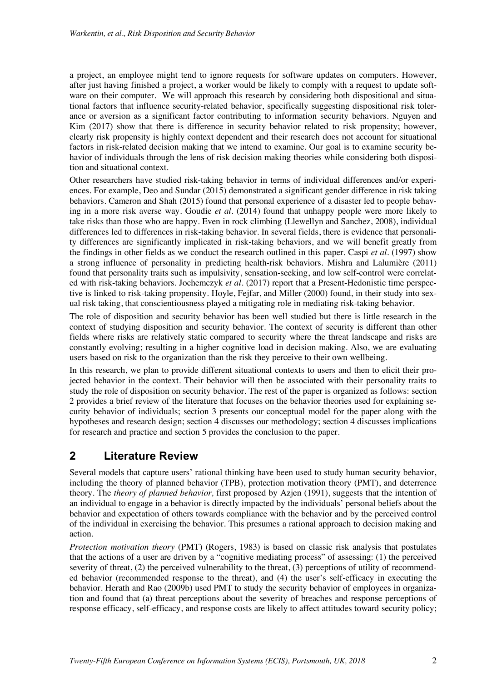a project, an employee might tend to ignore requests for software updates on computers. However, after just having finished a project, a worker would be likely to comply with a request to update software on their computer. We will approach this research by considering both dispositional and situational factors that influence security-related behavior, specifically suggesting dispositional risk tolerance or aversion as a significant factor contributing to information security behaviors. Nguyen and Kim (2017) show that there is difference in security behavior related to risk propensity; however, clearly risk propensity is highly context dependent and their research does not account for situational factors in risk-related decision making that we intend to examine. Our goal is to examine security behavior of individuals through the lens of risk decision making theories while considering both disposition and situational context.

Other researchers have studied risk-taking behavior in terms of individual differences and/or experiences. For example, Deo and Sundar (2015) demonstrated a significant gender difference in risk taking behaviors. Cameron and Shah (2015) found that personal experience of a disaster led to people behaving in a more risk averse way. Goudie *et al*. (2014) found that unhappy people were more likely to take risks than those who are happy. Even in rock climbing (Llewellyn and Sanchez, 2008), individual differences led to differences in risk-taking behavior. In several fields, there is evidence that personality differences are significantly implicated in risk-taking behaviors, and we will benefit greatly from the findings in other fields as we conduct the research outlined in this paper. Caspi *et al*. (1997) show a strong influence of personality in predicting health-risk behaviors. Mishra and Lalumière (2011) found that personality traits such as impulsivity, sensation-seeking, and low self-control were correlated with risk-taking behaviors. Jochemczyk *et al*. (2017) report that a Present-Hedonistic time perspective is linked to risk-taking propensity. Hoyle, Fejfar, and Miller (2000) found, in their study into sexual risk taking, that conscientiousness played a mitigating role in mediating risk-taking behavior.

The role of disposition and security behavior has been well studied but there is little research in the context of studying disposition and security behavior. The context of security is different than other fields where risks are relatively static compared to security where the threat landscape and risks are constantly evolving; resulting in a higher cognitive load in decision making. Also, we are evaluating users based on risk to the organization than the risk they perceive to their own wellbeing.

In this research, we plan to provide different situational contexts to users and then to elicit their projected behavior in the context. Their behavior will then be associated with their personality traits to study the role of disposition on security behavior. The rest of the paper is organized as follows: section 2 provides a brief review of the literature that focuses on the behavior theories used for explaining security behavior of individuals; section 3 presents our conceptual model for the paper along with the hypotheses and research design; section 4 discusses our methodology; section 4 discusses implications for research and practice and section 5 provides the conclusion to the paper.

# **2 Literature Review**

Several models that capture users' rational thinking have been used to study human security behavior, including the theory of planned behavior (TPB), protection motivation theory (PMT), and deterrence theory. The *theory of planned behavior,* first proposed by Azjen (1991), suggests that the intention of an individual to engage in a behavior is directly impacted by the individuals' personal beliefs about the behavior and expectation of others towards compliance with the behavior and by the perceived control of the individual in exercising the behavior. This presumes a rational approach to decision making and action.

*Protection motivation theory* (PMT) (Rogers, 1983) is based on classic risk analysis that postulates that the actions of a user are driven by a "cognitive mediating process" of assessing: (1) the perceived severity of threat, (2) the perceived vulnerability to the threat, (3) perceptions of utility of recommended behavior (recommended response to the threat), and (4) the user's self-efficacy in executing the behavior. Herath and Rao (2009b) used PMT to study the security behavior of employees in organization and found that (a) threat perceptions about the severity of breaches and response perceptions of response efficacy, self-efficacy, and response costs are likely to affect attitudes toward security policy;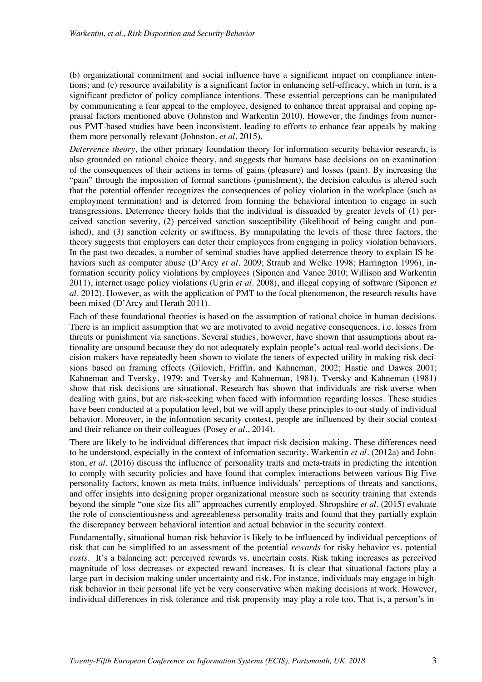(b) organizational commitment and social influence have a significant impact on compliance intentions; and (c) resource availability is a significant factor in enhancing self-efficacy, which in turn, is a significant predictor of policy compliance intentions. These essential perceptions can be manipulated by communicating a fear appeal to the employee, designed to enhance threat appraisal and coping appraisal factors mentioned above (Johnston and Warkentin 2010). However, the findings from numerous PMT-based studies have been inconsistent, leading to efforts to enhance fear appeals by making them more personally relevant (Johnston, *et al*. 2015).

*Deterrence theory*, the other primary foundation theory for information security behavior research, is also grounded on rational choice theory, and suggests that humans base decisions on an examination of the consequences of their actions in terms of gains (pleasure) and losses (pain). By increasing the "pain" through the imposition of formal sanctions (punishment), the decision calculus is altered such that the potential offender recognizes the consequences of policy violation in the workplace (such as employment termination) and is deterred from forming the behavioral intention to engage in such transgressions. Deterrence theory holds that the individual is dissuaded by greater levels of (1) perceived sanction severity, (2) perceived sanction susceptibility (likelihood of being caught and punished), and (3) sanction celerity or swiftness. By manipulating the levels of these three factors, the theory suggests that employers can deter their employees from engaging in policy violation behaviors. In the past two decades, a number of seminal studies have applied deterrence theory to explain IS behaviors such as computer abuse (D'Arcy *et al*. 2009; Straub and Welke 1998; Harrington 1996), information security policy violations by employees (Siponen and Vance 2010; Willison and Warkentin 2011), internet usage policy violations (Ugrin *et al*. 2008), and illegal copying of software (Siponen *et al*. 2012). However, as with the application of PMT to the focal phenomenon, the research results have been mixed (D'Arcy and Herath 2011).

Each of these foundational theories is based on the assumption of rational choice in human decisions. There is an implicit assumption that we are motivated to avoid negative consequences, i.e. losses from threats or punishment via sanctions. Several studies, however, have shown that assumptions about rationality are unsound because they do not adequately explain people's actual real-world decisions. Decision makers have repeatedly been shown to violate the tenets of expected utility in making risk decisions based on framing effects (Gilovich, Friffin, and Kahneman, 2002; Hastie and Dawes 2001; Kahneman and Tversky, 1979; and Tversky and Kahneman, 1981). Tversky and Kahneman (1981) show that risk decisions are situational. Research has shown that individuals are risk-averse when dealing with gains, but are risk-seeking when faced with information regarding losses. These studies have been conducted at a population level, but we will apply these principles to our study of individual behavior. Moreover, in the information security context, people are influenced by their social context and their reliance on their colleagues (Posey *et al*., 2014).

There are likely to be individual differences that impact risk decision making. These differences need to be understood, especially in the context of information security. Warkentin *et al*. (2012a) and Johnston, *et al*. (2016) discuss the influence of personality traits and meta-traits in predicting the intention to comply with security policies and have found that complex interactions between various Big Five personality factors, known as meta-traits, influence individuals' perceptions of threats and sanctions, and offer insights into designing proper organizational measure such as security training that extends beyond the simple "one size fits all" approaches currently employed. Shropshire *et al*. (2015) evaluate the role of conscientiousness and agreeableness personality traits and found that they partially explain the discrepancy between behavioral intention and actual behavior in the security context.

Fundamentally, situational human risk behavior is likely to be influenced by individual perceptions of risk that can be simplified to an assessment of the potential *rewards* for risky behavior vs. potential *costs*. It's a balancing act: perceived rewards vs. uncertain costs. Risk taking increases as perceived magnitude of loss decreases or expected reward increases. It is clear that situational factors play a large part in decision making under uncertainty and risk. For instance, individuals may engage in highrisk behavior in their personal life yet be very conservative when making decisions at work. However, individual differences in risk tolerance and risk propensity may play a role too. That is, a person's in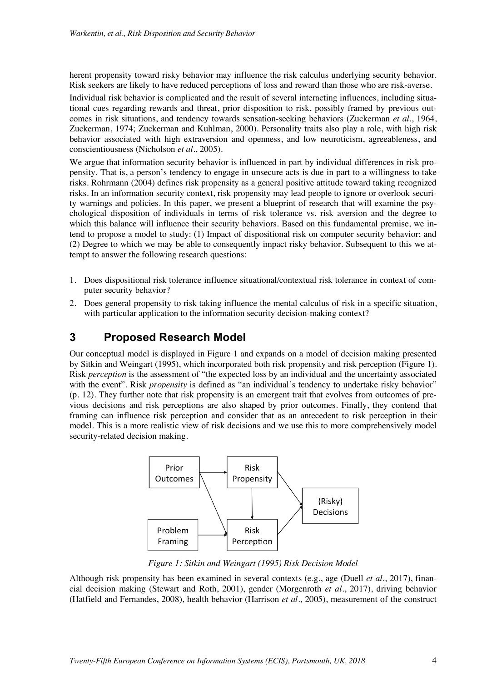herent propensity toward risky behavior may influence the risk calculus underlying security behavior. Risk seekers are likely to have reduced perceptions of loss and reward than those who are risk-averse.

Individual risk behavior is complicated and the result of several interacting influences, including situational cues regarding rewards and threat, prior disposition to risk, possibly framed by previous outcomes in risk situations, and tendency towards sensation-seeking behaviors (Zuckerman *et al.*, 1964, Zuckerman, 1974; Zuckerman and Kuhlman, 2000). Personality traits also play a role, with high risk behavior associated with high extraversion and openness, and low neuroticism, agreeableness, and conscientiousness (Nicholson *et al*., 2005).

We argue that information security behavior is influenced in part by individual differences in risk propensity. That is, a person's tendency to engage in unsecure acts is due in part to a willingness to take risks. Rohrmann (2004) defines risk propensity as a general positive attitude toward taking recognized risks. In an information security context, risk propensity may lead people to ignore or overlook security warnings and policies. In this paper, we present a blueprint of research that will examine the psychological disposition of individuals in terms of risk tolerance vs. risk aversion and the degree to which this balance will influence their security behaviors. Based on this fundamental premise, we intend to propose a model to study: (1) Impact of dispositional risk on computer security behavior; and (2) Degree to which we may be able to consequently impact risky behavior. Subsequent to this we attempt to answer the following research questions:

- 1. Does dispositional risk tolerance influence situational/contextual risk tolerance in context of computer security behavior?
- 2. Does general propensity to risk taking influence the mental calculus of risk in a specific situation, with particular application to the information security decision-making context?

# **3 Proposed Research Model**

Our conceptual model is displayed in Figure 1 and expands on a model of decision making presented by Sitkin and Weingart (1995), which incorporated both risk propensity and risk perception (Figure 1). Risk *perception* is the assessment of "the expected loss by an individual and the uncertainty associated with the event". Risk *propensity* is defined as "an individual's tendency to undertake risky behavior" (p. 12). They further note that risk propensity is an emergent trait that evolves from outcomes of previous decisions and risk perceptions are also shaped by prior outcomes. Finally, they contend that framing can influence risk perception and consider that as an antecedent to risk perception in their model. This is a more realistic view of risk decisions and we use this to more comprehensively model security-related decision making.



*Figure 1: Sitkin and Weingart (1995) Risk Decision Model*

Although risk propensity has been examined in several contexts (e.g., age (Duell *et al*., 2017), financial decision making (Stewart and Roth, 2001), gender (Morgenroth *et al*., 2017), driving behavior (Hatfield and Fernandes, 2008), health behavior (Harrison *et al*., 2005), measurement of the construct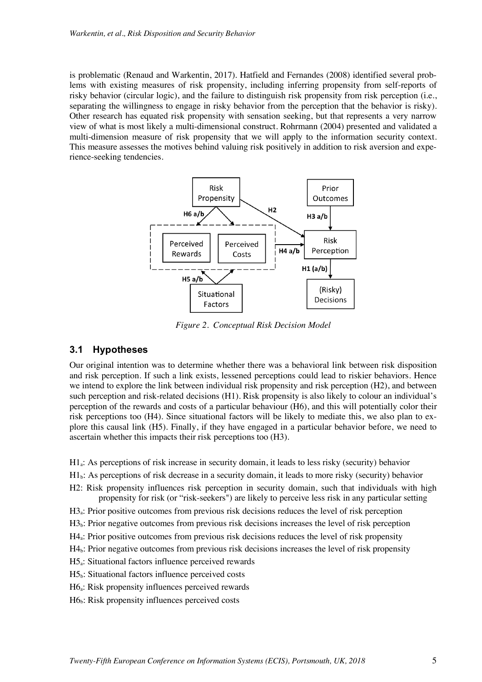is problematic (Renaud and Warkentin, 2017). Hatfield and Fernandes (2008) identified several problems with existing measures of risk propensity, including inferring propensity from self-reports of risky behavior (circular logic), and the failure to distinguish risk propensity from risk perception (i.e., separating the willingness to engage in risky behavior from the perception that the behavior is risky). Other research has equated risk propensity with sensation seeking, but that represents a very narrow view of what is most likely a multi-dimensional construct. Rohrmann (2004) presented and validated a multi-dimension measure of risk propensity that we will apply to the information security context. This measure assesses the motives behind valuing risk positively in addition to risk aversion and experience-seeking tendencies.



*Figure 2. Conceptual Risk Decision Model*

#### **3.1 Hypotheses**

Our original intention was to determine whether there was a behavioral link between risk disposition and risk perception. If such a link exists, lessened perceptions could lead to riskier behaviors. Hence we intend to explore the link between individual risk propensity and risk perception (H2), and between such perception and risk-related decisions (H1). Risk propensity is also likely to colour an individual's perception of the rewards and costs of a particular behaviour (H6), and this will potentially color their risk perceptions too (H4). Since situational factors will be likely to mediate this, we also plan to explore this causal link (H5). Finally, if they have engaged in a particular behavior before, we need to ascertain whether this impacts their risk perceptions too (H3).

- H1a: As perceptions of risk increase in security domain, it leads to less risky (security) behavior
- H1b: As perceptions of risk decrease in a security domain, it leads to more risky (security) behavior
- H2: Risk propensity influences risk perception in security domain, such that individuals with high propensity for risk (or "risk-seekers") are likely to perceive less risk in any particular setting
- H<sub>3</sub>: Prior positive outcomes from previous risk decisions reduces the level of risk perception
- H3b: Prior negative outcomes from previous risk decisions increases the level of risk perception
- H4a: Prior positive outcomes from previous risk decisions reduces the level of risk propensity
- $H4<sub>b</sub>$ : Prior negative outcomes from previous risk decisions increases the level of risk propensity
- H5a: Situational factors influence perceived rewards
- $H5<sub>b</sub>$ : Situational factors influence perceived costs
- H6a: Risk propensity influences perceived rewards
- $H6<sub>b</sub>$ : Risk propensity influences perceived costs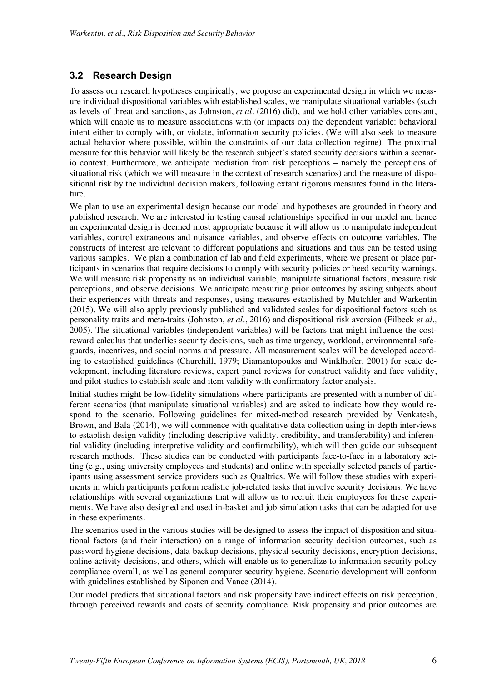#### **3.2 Research Design**

To assess our research hypotheses empirically, we propose an experimental design in which we measure individual dispositional variables with established scales, we manipulate situational variables (such as levels of threat and sanctions, as Johnston, *et al*. (2016) did), and we hold other variables constant, which will enable us to measure associations with (or impacts on) the dependent variable: behavioral intent either to comply with, or violate, information security policies. (We will also seek to measure actual behavior where possible, within the constraints of our data collection regime). The proximal measure for this behavior will likely be the research subject's stated security decisions within a scenario context. Furthermore, we anticipate mediation from risk perceptions – namely the perceptions of situational risk (which we will measure in the context of research scenarios) and the measure of dispositional risk by the individual decision makers, following extant rigorous measures found in the literature.

We plan to use an experimental design because our model and hypotheses are grounded in theory and published research. We are interested in testing causal relationships specified in our model and hence an experimental design is deemed most appropriate because it will allow us to manipulate independent variables, control extraneous and nuisance variables, and observe effects on outcome variables. The constructs of interest are relevant to different populations and situations and thus can be tested using various samples. We plan a combination of lab and field experiments, where we present or place participants in scenarios that require decisions to comply with security policies or heed security warnings. We will measure risk propensity as an individual variable, manipulate situational factors, measure risk perceptions, and observe decisions. We anticipate measuring prior outcomes by asking subjects about their experiences with threats and responses, using measures established by Mutchler and Warkentin (2015). We will also apply previously published and validated scales for dispositional factors such as personality traits and meta-traits (Johnston, *et al*., 2016) and dispositional risk aversion (Filbeck *et al.,*  2005). The situational variables (independent variables) will be factors that might influence the costreward calculus that underlies security decisions, such as time urgency, workload, environmental safeguards, incentives, and social norms and pressure. All measurement scales will be developed according to established guidelines (Churchill, 1979; Diamantopoulos and Winklhofer, 2001) for scale development, including literature reviews, expert panel reviews for construct validity and face validity, and pilot studies to establish scale and item validity with confirmatory factor analysis.

Initial studies might be low-fidelity simulations where participants are presented with a number of different scenarios (that manipulate situational variables) and are asked to indicate how they would respond to the scenario. Following guidelines for mixed-method research provided by Venkatesh, Brown, and Bala (2014), we will commence with qualitative data collection using in-depth interviews to establish design validity (including descriptive validity, credibility, and transferability) and inferential validity (including interpretive validity and confirmability), which will then guide our subsequent research methods. These studies can be conducted with participants face-to-face in a laboratory setting (e.g., using university employees and students) and online with specially selected panels of participants using assessment service providers such as Qualtrics. We will follow these studies with experiments in which participants perform realistic job-related tasks that involve security decisions. We have relationships with several organizations that will allow us to recruit their employees for these experiments. We have also designed and used in-basket and job simulation tasks that can be adapted for use in these experiments.

The scenarios used in the various studies will be designed to assess the impact of disposition and situational factors (and their interaction) on a range of information security decision outcomes, such as password hygiene decisions, data backup decisions, physical security decisions, encryption decisions, online activity decisions, and others, which will enable us to generalize to information security policy compliance overall, as well as general computer security hygiene. Scenario development will conform with guidelines established by Siponen and Vance (2014).

Our model predicts that situational factors and risk propensity have indirect effects on risk perception, through perceived rewards and costs of security compliance. Risk propensity and prior outcomes are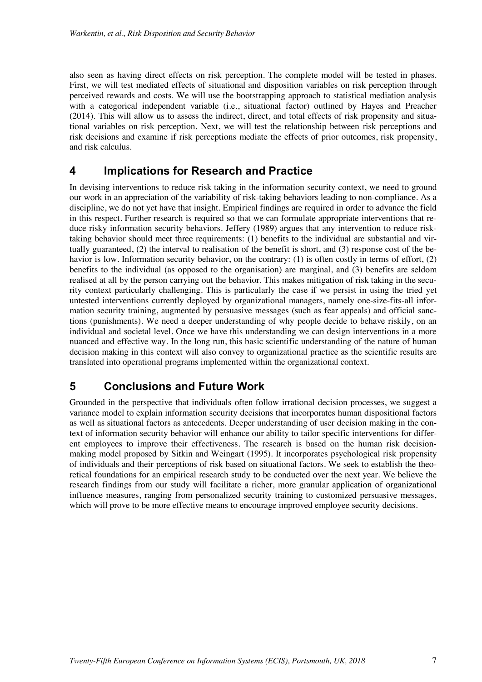also seen as having direct effects on risk perception. The complete model will be tested in phases. First, we will test mediated effects of situational and disposition variables on risk perception through perceived rewards and costs. We will use the bootstrapping approach to statistical mediation analysis with a categorical independent variable (i.e., situational factor) outlined by Hayes and Preacher (2014). This will allow us to assess the indirect, direct, and total effects of risk propensity and situational variables on risk perception. Next, we will test the relationship between risk perceptions and risk decisions and examine if risk perceptions mediate the effects of prior outcomes, risk propensity, and risk calculus.

#### **4 Implications for Research and Practice**

In devising interventions to reduce risk taking in the information security context, we need to ground our work in an appreciation of the variability of risk-taking behaviors leading to non-compliance. As a discipline, we do not yet have that insight. Empirical findings are required in order to advance the field in this respect. Further research is required so that we can formulate appropriate interventions that reduce risky information security behaviors. Jeffery (1989) argues that any intervention to reduce risktaking behavior should meet three requirements: (1) benefits to the individual are substantial and virtually guaranteed, (2) the interval to realisation of the benefit is short, and (3) response cost of the behavior is low. Information security behavior, on the contrary: (1) is often costly in terms of effort, (2) benefits to the individual (as opposed to the organisation) are marginal, and (3) benefits are seldom realised at all by the person carrying out the behavior. This makes mitigation of risk taking in the security context particularly challenging. This is particularly the case if we persist in using the tried yet untested interventions currently deployed by organizational managers, namely one-size-fits-all information security training, augmented by persuasive messages (such as fear appeals) and official sanctions (punishments). We need a deeper understanding of why people decide to behave riskily, on an individual and societal level. Once we have this understanding we can design interventions in a more nuanced and effective way. In the long run, this basic scientific understanding of the nature of human decision making in this context will also convey to organizational practice as the scientific results are translated into operational programs implemented within the organizational context.

### **5 Conclusions and Future Work**

Grounded in the perspective that individuals often follow irrational decision processes, we suggest a variance model to explain information security decisions that incorporates human dispositional factors as well as situational factors as antecedents. Deeper understanding of user decision making in the context of information security behavior will enhance our ability to tailor specific interventions for different employees to improve their effectiveness. The research is based on the human risk decisionmaking model proposed by Sitkin and Weingart (1995). It incorporates psychological risk propensity of individuals and their perceptions of risk based on situational factors. We seek to establish the theoretical foundations for an empirical research study to be conducted over the next year. We believe the research findings from our study will facilitate a richer, more granular application of organizational influence measures, ranging from personalized security training to customized persuasive messages, which will prove to be more effective means to encourage improved employee security decisions.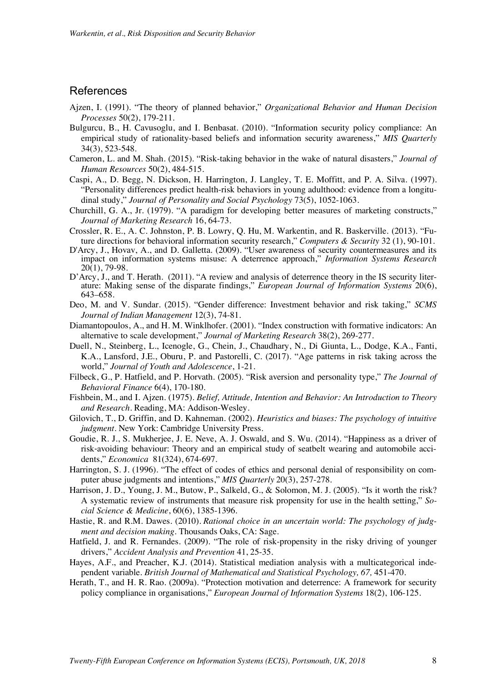#### References

- Ajzen, I. (1991). "The theory of planned behavior," *Organizational Behavior and Human Decision Processes* 50(2), 179-211.
- Bulgurcu, B., H. Cavusoglu, and I. Benbasat. (2010). "Information security policy compliance: An empirical study of rationality-based beliefs and information security awareness," *MIS Quarterly* 34(3), 523-548.
- Cameron, L. and M. Shah. (2015). "Risk-taking behavior in the wake of natural disasters," *Journal of Human Resources* 50(2), 484-515.
- Caspi, A., D. Begg, N. Dickson, H. Harrington, J. Langley, T. E. Moffitt, and P. A. Silva. (1997). "Personality differences predict health-risk behaviors in young adulthood: evidence from a longitudinal study," *Journal of Personality and Social Psychology* 73(5), 1052-1063.
- Churchill, G. A., Jr. (1979). "A paradigm for developing better measures of marketing constructs," *Journal of Marketing Research* 16, 64-73.
- Crossler, R. E., A. C. Johnston, P. B. Lowry, Q. Hu, M. Warkentin, and R. Baskerville. (2013). "Future directions for behavioral information security research," *Computers & Security* 32 (1), 90-101.
- D'Arcy, J., Hovav, A., and D. Galletta. (2009). "User awareness of security countermeasures and its impact on information systems misuse: A deterrence approach," *Information Systems Research* 20(1), 79-98.
- D'Arcy, J., and T. Herath. (2011). "A review and analysis of deterrence theory in the IS security literature: Making sense of the disparate findings," *European Journal of Information Systems* 20(6), 643–658.
- Deo, M. and V. Sundar. (2015). "Gender difference: Investment behavior and risk taking," *SCMS Journal of Indian Management* 12(3), 74-81.
- Diamantopoulos, A., and H. M. Winklhofer. (2001). "Index construction with formative indicators: An alternative to scale development," *Journal of Marketing Research* 38(2), 269-277.
- Duell, N., Steinberg, L., Icenogle, G., Chein, J., Chaudhary, N., Di Giunta, L., Dodge, K.A., Fanti, K.A., Lansford, J.E., Oburu, P. and Pastorelli, C. (2017). "Age patterns in risk taking across the world," *Journal of Youth and Adolescence*, 1-21.
- Filbeck, G., P. Hatfield, and P. Horvath. (2005). "Risk aversion and personality type," *The Journal of Behavioral Finance* 6(4), 170-180.
- Fishbein, M., and I. Ajzen. (1975). *Belief, Attitude, Intention and Behavior: An Introduction to Theory and Research.* Reading, MA: Addison-Wesley.
- Gilovich, T., D. Griffin, and D. Kahneman. (2002). *Heuristics and biases: The psychology of intuitive judgment*. New York: Cambridge University Press.
- Goudie, R. J., S. Mukherjee, J. E. Neve, A. J. Oswald, and S. Wu. (2014). "Happiness as a driver of risk‐avoiding behaviour: Theory and an empirical study of seatbelt wearing and automobile accidents," *Economica* 81(324), 674-697.
- Harrington, S. J. (1996). "The effect of codes of ethics and personal denial of responsibility on computer abuse judgments and intentions," *MIS Quarterly* 20(3), 257-278.
- Harrison, J. D., Young, J. M., Butow, P., Salkeld, G., & Solomon, M. J. (2005). "Is it worth the risk? A systematic review of instruments that measure risk propensity for use in the health setting," *Social Science & Medicine*, 60(6), 1385-1396.
- Hastie, R. and R.M. Dawes. (2010). *Rational choice in an uncertain world: The psychology of judgment and decision making*. Thousands Oaks, CA: Sage.
- Hatfield, J. and R. Fernandes. (2009). "The role of risk-propensity in the risky driving of younger drivers," *Accident Analysis and Prevention* 41, 25-35.
- Hayes, A.F., and Preacher, K.J. (2014). Statistical mediation analysis with a multicategorical independent variable. *British Journal of Mathematical and Statistical Psychology, 67, 451-470*.
- Herath, T., and H. R. Rao. (2009a). "Protection motivation and deterrence: A framework for security policy compliance in organisations," *European Journal of Information Systems* 18(2), 106-125.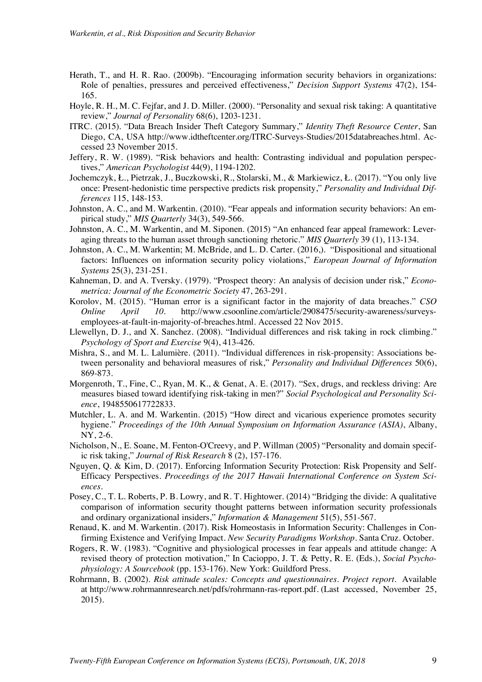- Herath, T., and H. R. Rao. (2009b). "Encouraging information security behaviors in organizations: Role of penalties, pressures and perceived effectiveness," *Decision Support Systems* 47(2), 154- 165.
- Hoyle, R. H., M. C. Fejfar, and J. D. Miller. (2000). "Personality and sexual risk taking: A quantitative review," *Journal of Personality* 68(6), 1203-1231.
- ITRC. (2015). "Data Breach Insider Theft Category Summary," *Identity Theft Resource Center*, San Diego, CA, USA http://www.idtheftcenter.org/ITRC-Surveys-Studies/2015databreaches.html. Accessed 23 November 2015.
- Jeffery, R. W. (1989). "Risk behaviors and health: Contrasting individual and population perspectives," *American Psychologist* 44(9), 1194-1202.
- Jochemczyk, Ł., Pietrzak, J., Buczkowski, R., Stolarski, M., & Markiewicz, Ł. (2017). "You only live once: Present-hedonistic time perspective predicts risk propensity," *Personality and Individual Differences* 115, 148-153.
- Johnston, A. C., and M. Warkentin. (2010). "Fear appeals and information security behaviors: An empirical study," *MIS Quarterly* 34(3), 549-566.
- Johnston, A. C., M. Warkentin, and M. Siponen. (2015) "An enhanced fear appeal framework: Leveraging threats to the human asset through sanctioning rhetoric." *MIS Quarterly* 39 (1), 113-134.
- Johnston, A. C., M. Warkentin; M. McBride, and L. D. Carter. (2016,). "Dispositional and situational factors: Influences on information security policy violations," *European Journal of Information Systems* 25(3), 231-251.
- Kahneman, D. and A. Tversky. (1979). "Prospect theory: An analysis of decision under risk," *Econometrica: Journal of the Econometric Society* 47, 263-291.
- Korolov, M. (2015). "Human error is a significant factor in the majority of data breaches." *CSO Online April 10*. http://www.csoonline.com/article/2908475/security-awareness/surveysemployees-at-fault-in-majority-of-breaches.html. Accessed 22 Nov 2015.
- Llewellyn, D. J., and X. Sanchez. (2008). "Individual differences and risk taking in rock climbing." *Psychology of Sport and Exercise* 9(4), 413-426.
- Mishra, S., and M. L. Lalumière. (2011). "Individual differences in risk-propensity: Associations between personality and behavioral measures of risk," *Personality and Individual Differences* 50(6), 869-873.
- Morgenroth, T., Fine, C., Ryan, M. K., & Genat, A. E. (2017). "Sex, drugs, and reckless driving: Are measures biased toward identifying risk-taking in men?" *Social Psychological and Personality Science*, 1948550617722833.
- Mutchler, L. A. and M. Warkentin. (2015) "How direct and vicarious experience promotes security hygiene." *Proceedings of the 10th Annual Symposium on Information Assurance (ASIA)*, Albany, NY, 2-6.
- Nicholson, N., E. Soane, M. Fenton-O'Creevy, and P. Willman (2005) "Personality and domain specific risk taking," *Journal of Risk Research* 8 (2), 157-176.
- Nguyen, Q. & Kim, D. (2017). Enforcing Information Security Protection: Risk Propensity and Self-Efficacy Perspectives. *Proceedings of the 2017 Hawaii International Conference on System Sciences*.
- Posey, C., T. L. Roberts, P. B. Lowry, and R. T. Hightower. (2014) "Bridging the divide: A qualitative comparison of information security thought patterns between information security professionals and ordinary organizational insiders," *Information & Management* 51(5), 551-567.
- Renaud, K. and M. Warkentin. (2017). Risk Homeostasis in Information Security: Challenges in Confirming Existence and Verifying Impact. *New Security Paradigms Workshop*. Santa Cruz. October.
- Rogers, R. W. (1983). "Cognitive and physiological processes in fear appeals and attitude change: A revised theory of protection motivation," In Cacioppo, J. T. & Petty, R. E. (Eds.), *Social Psychophysiology: A Sourcebook* (pp. 153-176). New York: Guildford Press.
- Rohrmann, B. (2002). *Risk attitude scales: Concepts and questionnaires. Project report*. Available at http://www.rohrmannresearch.net/pdfs/rohrmann-ras-report.pdf. (Last accessed, November 25, 2015).